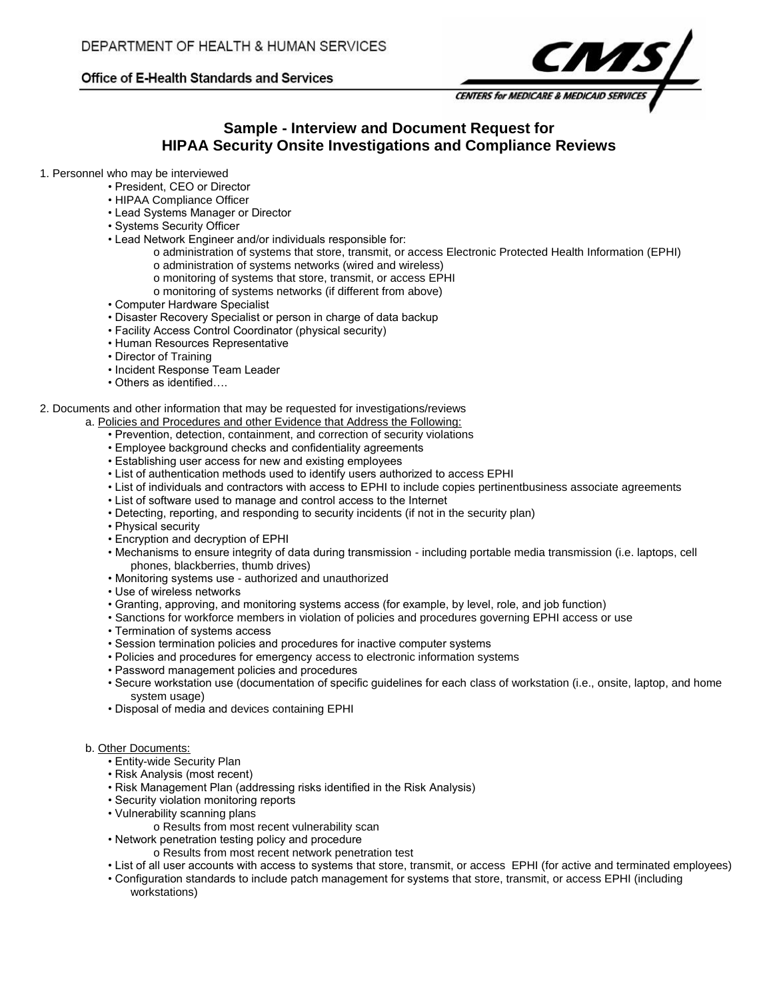# Office of E-Health Standards and Services



# **Sample - Interview and Document Request for HIPAA Security Onsite Investigations and Compliance Reviews**

- 1. Personnel who may be interviewed
	- President, CEO or Director
	- HIPAA Compliance Officer
	- Lead Systems Manager or Director
	- Systems Security Officer
	- Lead Network Engineer and/or individuals responsible for:
		- o administration of systems that store, transmit, or access Electronic Protected Health Information (EPHI) o administration of systems networks (wired and wireless)
			- o monitoring of systems that store, transmit, or access EPHI
			- o monitoring of systems networks (if different from above)
	- Computer Hardware Specialist
	- Disaster Recovery Specialist or person in charge of data backup
	- Facility Access Control Coordinator (physical security)
	- Human Resources Representative
	- Director of Training
	- Incident Response Team Leader
	- Others as identified….

### 2. Documents and other information that may be requested for investigations/reviews

- a. Policies and Procedures and other Evidence that Address the Following:
	- Prevention, detection, containment, and correction of security violations
	- Employee background checks and confidentiality agreements
	- Establishing user access for new and existing employees
	- List of authentication methods used to identify users authorized to access EPHI
	- List of individuals and contractors with access to EPHI to include copies pertinentbusiness associate agreements
	- List of software used to manage and control access to the Internet
	- Detecting, reporting, and responding to security incidents (if not in the security plan)
	- Physical security
	- Encryption and decryption of EPHI
	- Mechanisms to ensure integrity of data during transmission including portable media transmission (i.e. laptops, cell phones, blackberries, thumb drives)
	- Monitoring systems use authorized and unauthorized
	- Use of wireless networks
	- Granting, approving, and monitoring systems access (for example, by level, role, and job function)
	- Sanctions for workforce members in violation of policies and procedures governing EPHI access or use
	- Termination of systems access
	- Session termination policies and procedures for inactive computer systems
	- Policies and procedures for emergency access to electronic information systems
	- Password management policies and procedures
	- Secure workstation use (documentation of specific guidelines for each class of workstation (i.e., onsite, laptop, and home system usage)
	- Disposal of media and devices containing EPHI

### b. Other Documents:

- Entity-wide Security Plan
- Risk Analysis (most recent)
- Risk Management Plan (addressing risks identified in the Risk Analysis)
- Security violation monitoring reports
- Vulnerability scanning plans
	- o Results from most recent vulnerability scan
- Network penetration testing policy and procedure
	- o Results from most recent network penetration test
- List of all user accounts with access to systems that store, transmit, or access EPHI (for active and terminated employees)
- Configuration standards to include patch management for systems that store, transmit, or access EPHI (including workstations)